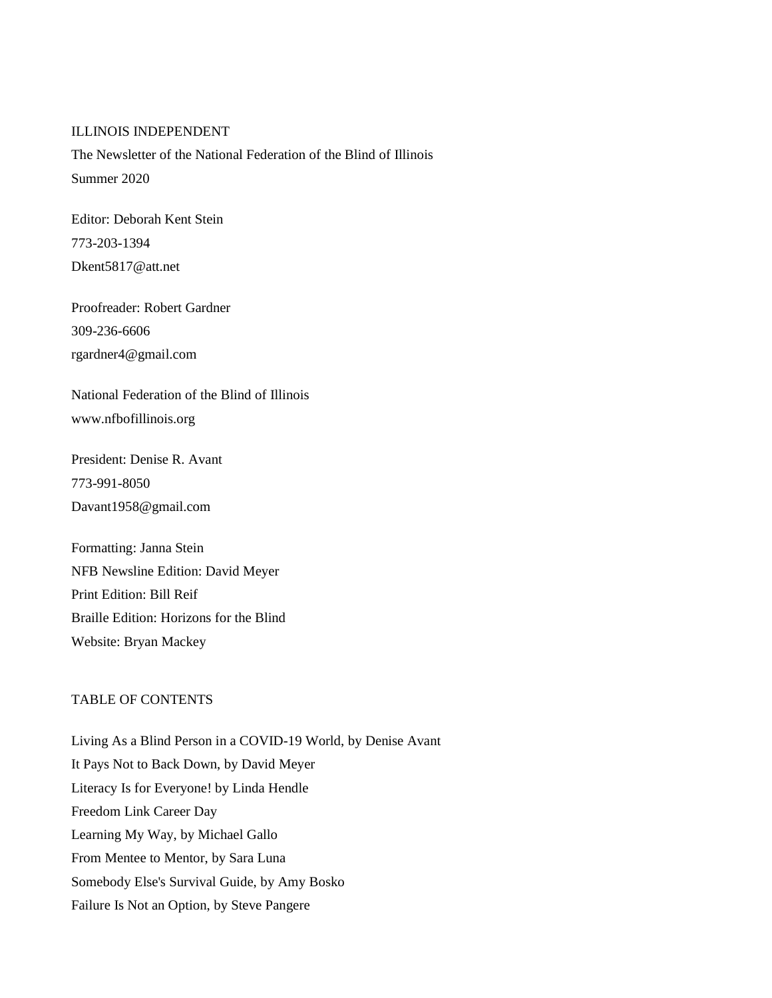#### ILLINOIS INDEPENDENT

The Newsletter of the National Federation of the Blind of Illinois Summer 2020

Editor: Deborah Kent Stein 773-203-1394 Dkent5817@att.net

Proofreader: Robert Gardner 309-236-6606 rgardner4@gmail.com

National Federation of the Blind of Illinois www.nfbofillinois.org

President: Denise R. Avant 773-991-8050 Davant1958@gmail.com

Formatting: Janna Stein NFB Newsline Edition: David Meyer Print Edition: Bill Reif Braille Edition: Horizons for the Blind Website: Bryan Mackey

# TABLE OF CONTENTS

Living As a Blind Person in a COVID-19 World, by Denise Avant It Pays Not to Back Down, by David Meyer Literacy Is for Everyone! by Linda Hendle Freedom Link Career Day Learning My Way, by Michael Gallo From Mentee to Mentor, by Sara Luna Somebody Else's Survival Guide, by Amy Bosko Failure Is Not an Option, by Steve Pangere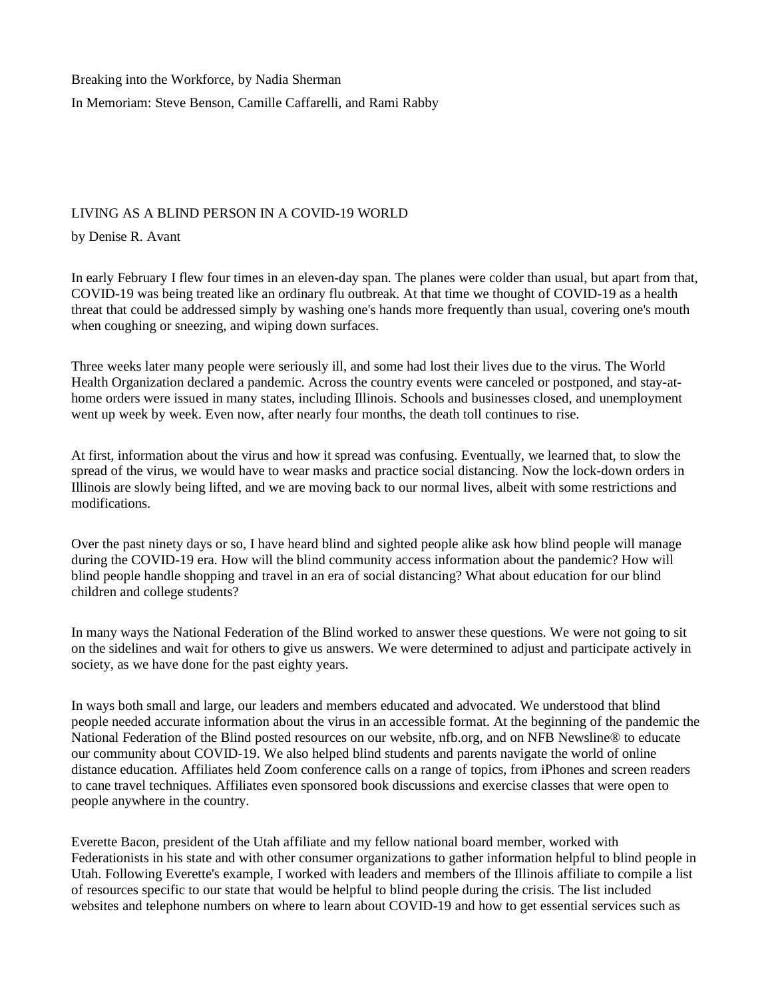Breaking into the Workforce, by Nadia Sherman

In Memoriam: Steve Benson, Camille Caffarelli, and Rami Rabby

### LIVING AS A BLIND PERSON IN A COVID-19 WORLD

by Denise R. Avant

In early February I flew four times in an eleven-day span. The planes were colder than usual, but apart from that, COVID-19 was being treated like an ordinary flu outbreak. At that time we thought of COVID-19 as a health threat that could be addressed simply by washing one's hands more frequently than usual, covering one's mouth when coughing or sneezing, and wiping down surfaces.

Three weeks later many people were seriously ill, and some had lost their lives due to the virus. The World Health Organization declared a pandemic. Across the country events were canceled or postponed, and stay-athome orders were issued in many states, including Illinois. Schools and businesses closed, and unemployment went up week by week. Even now, after nearly four months, the death toll continues to rise.

At first, information about the virus and how it spread was confusing. Eventually, we learned that, to slow the spread of the virus, we would have to wear masks and practice social distancing. Now the lock-down orders in Illinois are slowly being lifted, and we are moving back to our normal lives, albeit with some restrictions and modifications.

Over the past ninety days or so, I have heard blind and sighted people alike ask how blind people will manage during the COVID-19 era. How will the blind community access information about the pandemic? How will blind people handle shopping and travel in an era of social distancing? What about education for our blind children and college students?

In many ways the National Federation of the Blind worked to answer these questions. We were not going to sit on the sidelines and wait for others to give us answers. We were determined to adjust and participate actively in society, as we have done for the past eighty years.

In ways both small and large, our leaders and members educated and advocated. We understood that blind people needed accurate information about the virus in an accessible format. At the beginning of the pandemic the National Federation of the Blind posted resources on our website, nfb.org, and on NFB Newsline® to educate our community about COVID-19. We also helped blind students and parents navigate the world of online distance education. Affiliates held Zoom conference calls on a range of topics, from iPhones and screen readers to cane travel techniques. Affiliates even sponsored book discussions and exercise classes that were open to people anywhere in the country.

Everette Bacon, president of the Utah affiliate and my fellow national board member, worked with Federationists in his state and with other consumer organizations to gather information helpful to blind people in Utah. Following Everette's example, I worked with leaders and members of the Illinois affiliate to compile a list of resources specific to our state that would be helpful to blind people during the crisis. The list included websites and telephone numbers on where to learn about COVID-19 and how to get essential services such as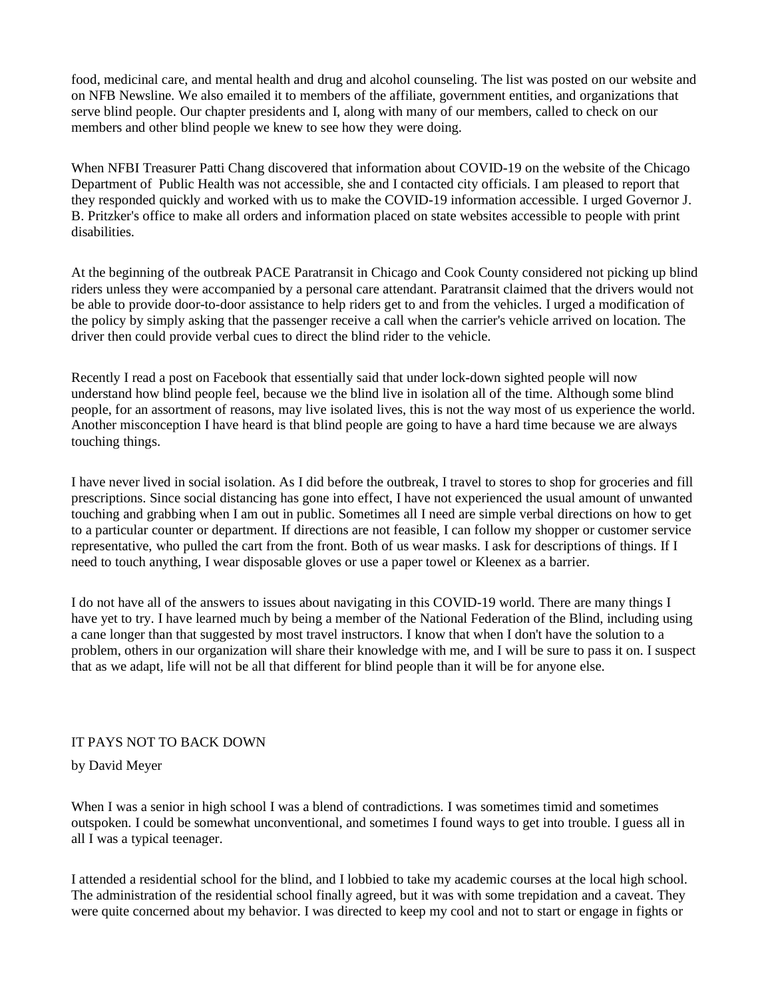food, medicinal care, and mental health and drug and alcohol counseling. The list was posted on our website and on NFB Newsline. We also emailed it to members of the affiliate, government entities, and organizations that serve blind people. Our chapter presidents and I, along with many of our members, called to check on our members and other blind people we knew to see how they were doing.

When NFBI Treasurer Patti Chang discovered that information about COVID-19 on the website of the Chicago Department of Public Health was not accessible, she and I contacted city officials. I am pleased to report that they responded quickly and worked with us to make the COVID-19 information accessible. I urged Governor J. B. Pritzker's office to make all orders and information placed on state websites accessible to people with print disabilities.

At the beginning of the outbreak PACE Paratransit in Chicago and Cook County considered not picking up blind riders unless they were accompanied by a personal care attendant. Paratransit claimed that the drivers would not be able to provide door-to-door assistance to help riders get to and from the vehicles. I urged a modification of the policy by simply asking that the passenger receive a call when the carrier's vehicle arrived on location. The driver then could provide verbal cues to direct the blind rider to the vehicle.

Recently I read a post on Facebook that essentially said that under lock-down sighted people will now understand how blind people feel, because we the blind live in isolation all of the time. Although some blind people, for an assortment of reasons, may live isolated lives, this is not the way most of us experience the world. Another misconception I have heard is that blind people are going to have a hard time because we are always touching things.

I have never lived in social isolation. As I did before the outbreak, I travel to stores to shop for groceries and fill prescriptions. Since social distancing has gone into effect, I have not experienced the usual amount of unwanted touching and grabbing when I am out in public. Sometimes all I need are simple verbal directions on how to get to a particular counter or department. If directions are not feasible, I can follow my shopper or customer service representative, who pulled the cart from the front. Both of us wear masks. I ask for descriptions of things. If I need to touch anything, I wear disposable gloves or use a paper towel or Kleenex as a barrier.

I do not have all of the answers to issues about navigating in this COVID-19 world. There are many things I have yet to try. I have learned much by being a member of the National Federation of the Blind, including using a cane longer than that suggested by most travel instructors. I know that when I don't have the solution to a problem, others in our organization will share their knowledge with me, and I will be sure to pass it on. I suspect that as we adapt, life will not be all that different for blind people than it will be for anyone else.

# IT PAYS NOT TO BACK DOWN

# by David Meyer

When I was a senior in high school I was a blend of contradictions. I was sometimes timid and sometimes outspoken. I could be somewhat unconventional, and sometimes I found ways to get into trouble. I guess all in all I was a typical teenager.

I attended a residential school for the blind, and I lobbied to take my academic courses at the local high school. The administration of the residential school finally agreed, but it was with some trepidation and a caveat. They were quite concerned about my behavior. I was directed to keep my cool and not to start or engage in fights or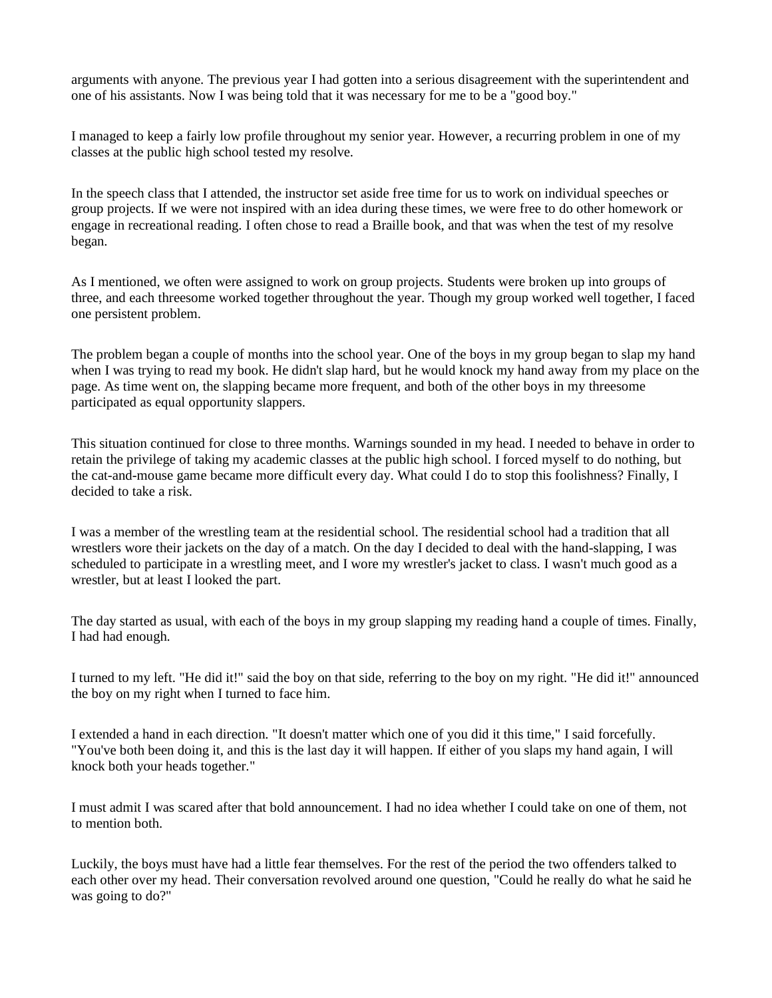arguments with anyone. The previous year I had gotten into a serious disagreement with the superintendent and one of his assistants. Now I was being told that it was necessary for me to be a "good boy."

I managed to keep a fairly low profile throughout my senior year. However, a recurring problem in one of my classes at the public high school tested my resolve.

In the speech class that I attended, the instructor set aside free time for us to work on individual speeches or group projects. If we were not inspired with an idea during these times, we were free to do other homework or engage in recreational reading. I often chose to read a Braille book, and that was when the test of my resolve began.

As I mentioned, we often were assigned to work on group projects. Students were broken up into groups of three, and each threesome worked together throughout the year. Though my group worked well together, I faced one persistent problem.

The problem began a couple of months into the school year. One of the boys in my group began to slap my hand when I was trying to read my book. He didn't slap hard, but he would knock my hand away from my place on the page. As time went on, the slapping became more frequent, and both of the other boys in my threesome participated as equal opportunity slappers.

This situation continued for close to three months. Warnings sounded in my head. I needed to behave in order to retain the privilege of taking my academic classes at the public high school. I forced myself to do nothing, but the cat-and-mouse game became more difficult every day. What could I do to stop this foolishness? Finally, I decided to take a risk.

I was a member of the wrestling team at the residential school. The residential school had a tradition that all wrestlers wore their jackets on the day of a match. On the day I decided to deal with the hand-slapping, I was scheduled to participate in a wrestling meet, and I wore my wrestler's jacket to class. I wasn't much good as a wrestler, but at least I looked the part.

The day started as usual, with each of the boys in my group slapping my reading hand a couple of times. Finally, I had had enough.

I turned to my left. "He did it!" said the boy on that side, referring to the boy on my right. "He did it!" announced the boy on my right when I turned to face him.

I extended a hand in each direction. "It doesn't matter which one of you did it this time," I said forcefully. "You've both been doing it, and this is the last day it will happen. If either of you slaps my hand again, I will knock both your heads together."

I must admit I was scared after that bold announcement. I had no idea whether I could take on one of them, not to mention both.

Luckily, the boys must have had a little fear themselves. For the rest of the period the two offenders talked to each other over my head. Their conversation revolved around one question, "Could he really do what he said he was going to do?"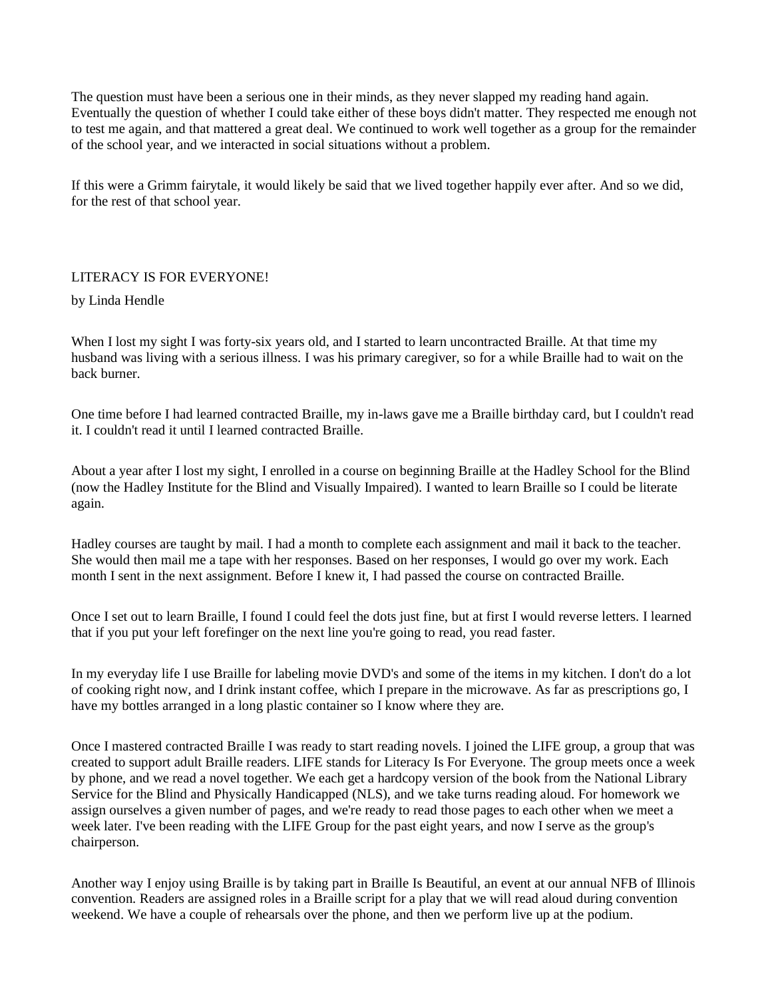The question must have been a serious one in their minds, as they never slapped my reading hand again. Eventually the question of whether I could take either of these boys didn't matter. They respected me enough not to test me again, and that mattered a great deal. We continued to work well together as a group for the remainder of the school year, and we interacted in social situations without a problem.

If this were a Grimm fairytale, it would likely be said that we lived together happily ever after. And so we did, for the rest of that school year.

# LITERACY IS FOR EVERYONE!

by Linda Hendle

When I lost my sight I was forty-six years old, and I started to learn uncontracted Braille. At that time my husband was living with a serious illness. I was his primary caregiver, so for a while Braille had to wait on the back burner.

One time before I had learned contracted Braille, my in-laws gave me a Braille birthday card, but I couldn't read it. I couldn't read it until I learned contracted Braille.

About a year after I lost my sight, I enrolled in a course on beginning Braille at the Hadley School for the Blind (now the Hadley Institute for the Blind and Visually Impaired). I wanted to learn Braille so I could be literate again.

Hadley courses are taught by mail. I had a month to complete each assignment and mail it back to the teacher. She would then mail me a tape with her responses. Based on her responses, I would go over my work. Each month I sent in the next assignment. Before I knew it, I had passed the course on contracted Braille.

Once I set out to learn Braille, I found I could feel the dots just fine, but at first I would reverse letters. I learned that if you put your left forefinger on the next line you're going to read, you read faster.

In my everyday life I use Braille for labeling movie DVD's and some of the items in my kitchen. I don't do a lot of cooking right now, and I drink instant coffee, which I prepare in the microwave. As far as prescriptions go, I have my bottles arranged in a long plastic container so I know where they are.

Once I mastered contracted Braille I was ready to start reading novels. I joined the LIFE group, a group that was created to support adult Braille readers. LIFE stands for Literacy Is For Everyone. The group meets once a week by phone, and we read a novel together. We each get a hardcopy version of the book from the National Library Service for the Blind and Physically Handicapped (NLS), and we take turns reading aloud. For homework we assign ourselves a given number of pages, and we're ready to read those pages to each other when we meet a week later. I've been reading with the LIFE Group for the past eight years, and now I serve as the group's chairperson.

Another way I enjoy using Braille is by taking part in Braille Is Beautiful, an event at our annual NFB of Illinois convention. Readers are assigned roles in a Braille script for a play that we will read aloud during convention weekend. We have a couple of rehearsals over the phone, and then we perform live up at the podium.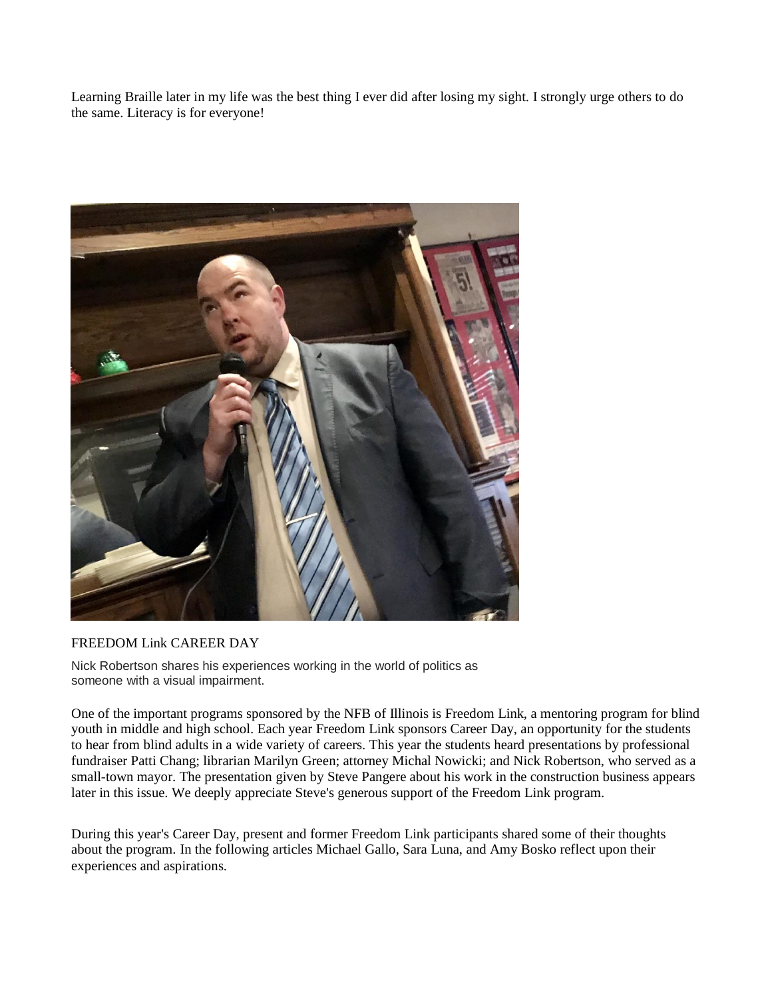Learning Braille later in my life was the best thing I ever did after losing my sight. I strongly urge others to do the same. Literacy is for everyone!



# FREEDOM Link CAREER DAY

Nick Robertson shares his experiences working in the world of politics as someone with a visual impairment.

One of the important programs sponsored by the NFB of Illinois is Freedom Link, a mentoring program for blind youth in middle and high school. Each year Freedom Link sponsors Career Day, an opportunity for the students to hear from blind adults in a wide variety of careers. This year the students heard presentations by professional fundraiser Patti Chang; librarian Marilyn Green; attorney Michal Nowicki; and Nick Robertson, who served as a small-town mayor. The presentation given by Steve Pangere about his work in the construction business appears later in this issue. We deeply appreciate Steve's generous support of the Freedom Link program.

During this year's Career Day, present and former Freedom Link participants shared some of their thoughts about the program. In the following articles Michael Gallo, Sara Luna, and Amy Bosko reflect upon their experiences and aspirations.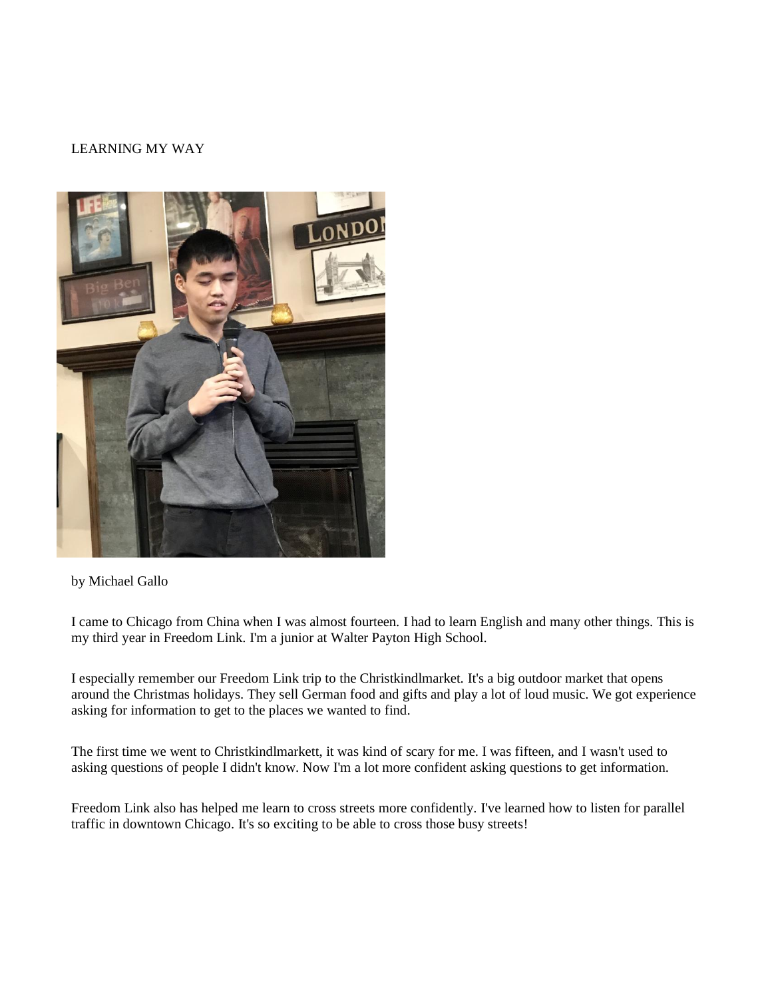# LEARNING MY WAY



by Michael Gallo

I came to Chicago from China when I was almost fourteen. I had to learn English and many other things. This is my third year in Freedom Link. I'm a junior at Walter Payton High School.

I especially remember our Freedom Link trip to the Christkindlmarket. It's a big outdoor market that opens around the Christmas holidays. They sell German food and gifts and play a lot of loud music. We got experience asking for information to get to the places we wanted to find.

The first time we went to Christkindlmarkett, it was kind of scary for me. I was fifteen, and I wasn't used to asking questions of people I didn't know. Now I'm a lot more confident asking questions to get information.

Freedom Link also has helped me learn to cross streets more confidently. I've learned how to listen for parallel traffic in downtown Chicago. It's so exciting to be able to cross those busy streets!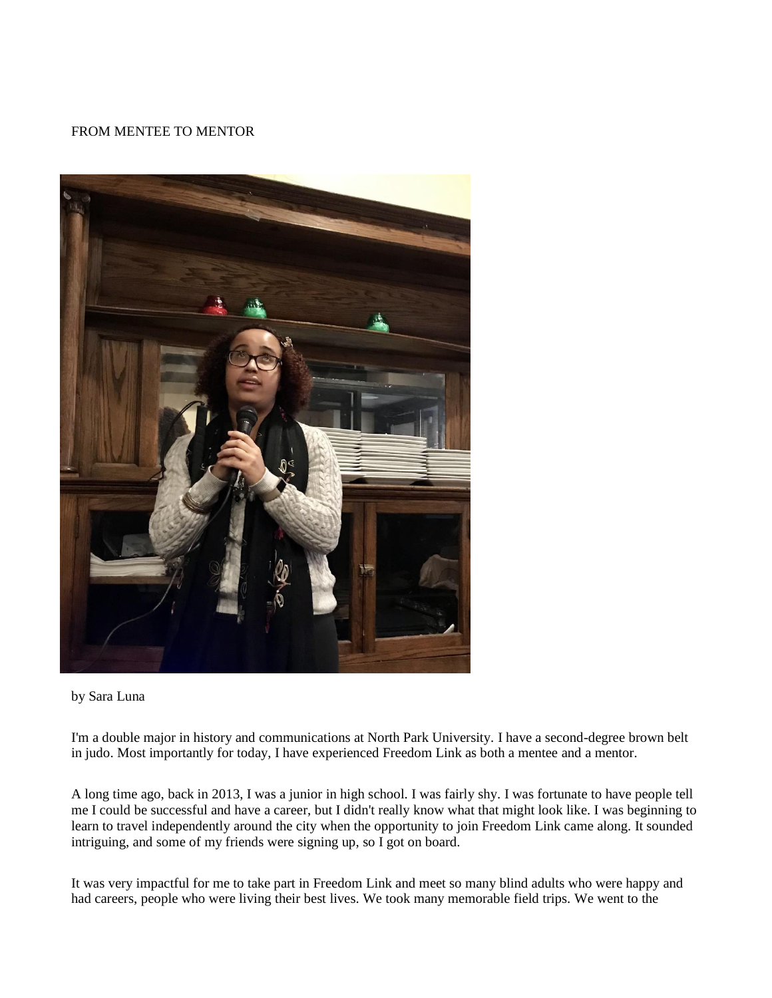# FROM MENTEE TO MENTOR



by Sara Luna

I'm a double major in history and communications at North Park University. I have a second-degree brown belt in judo. Most importantly for today, I have experienced Freedom Link as both a mentee and a mentor.

A long time ago, back in 2013, I was a junior in high school. I was fairly shy. I was fortunate to have people tell me I could be successful and have a career, but I didn't really know what that might look like. I was beginning to learn to travel independently around the city when the opportunity to join Freedom Link came along. It sounded intriguing, and some of my friends were signing up, so I got on board.

It was very impactful for me to take part in Freedom Link and meet so many blind adults who were happy and had careers, people who were living their best lives. We took many memorable field trips. We went to the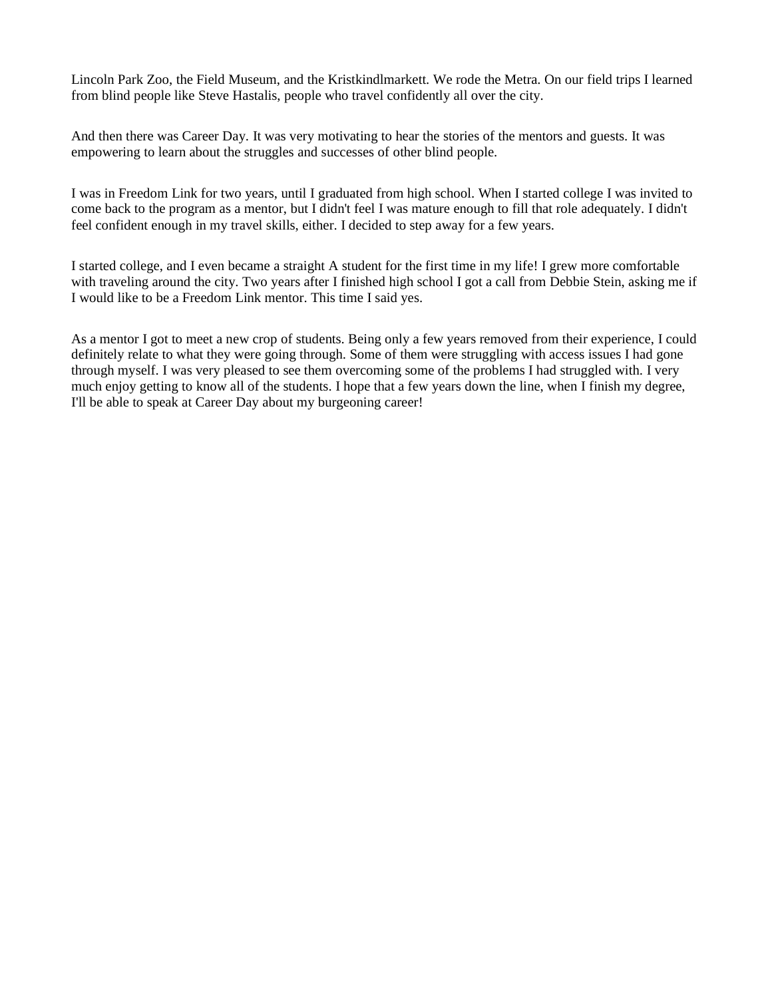Lincoln Park Zoo, the Field Museum, and the Kristkindlmarkett. We rode the Metra. On our field trips I learned from blind people like Steve Hastalis, people who travel confidently all over the city.

And then there was Career Day. It was very motivating to hear the stories of the mentors and guests. It was empowering to learn about the struggles and successes of other blind people.

I was in Freedom Link for two years, until I graduated from high school. When I started college I was invited to come back to the program as a mentor, but I didn't feel I was mature enough to fill that role adequately. I didn't feel confident enough in my travel skills, either. I decided to step away for a few years.

I started college, and I even became a straight A student for the first time in my life! I grew more comfortable with traveling around the city. Two years after I finished high school I got a call from Debbie Stein, asking me if I would like to be a Freedom Link mentor. This time I said yes.

As a mentor I got to meet a new crop of students. Being only a few years removed from their experience, I could definitely relate to what they were going through. Some of them were struggling with access issues I had gone through myself. I was very pleased to see them overcoming some of the problems I had struggled with. I very much enjoy getting to know all of the students. I hope that a few years down the line, when I finish my degree, I'll be able to speak at Career Day about my burgeoning career!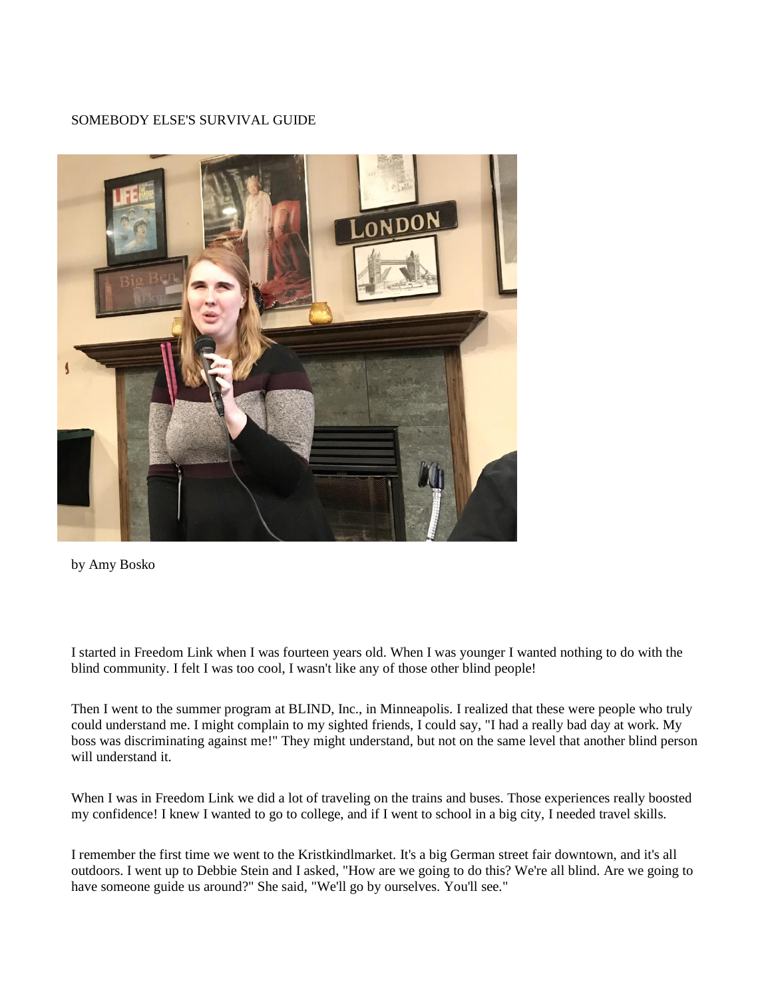# SOMEBODY ELSE'S SURVIVAL GUIDE



by Amy Bosko

I started in Freedom Link when I was fourteen years old. When I was younger I wanted nothing to do with the blind community. I felt I was too cool, I wasn't like any of those other blind people!

Then I went to the summer program at BLIND, Inc., in Minneapolis. I realized that these were people who truly could understand me. I might complain to my sighted friends, I could say, "I had a really bad day at work. My boss was discriminating against me!" They might understand, but not on the same level that another blind person will understand it.

When I was in Freedom Link we did a lot of traveling on the trains and buses. Those experiences really boosted my confidence! I knew I wanted to go to college, and if I went to school in a big city, I needed travel skills.

I remember the first time we went to the Kristkindlmarket. It's a big German street fair downtown, and it's all outdoors. I went up to Debbie Stein and I asked, "How are we going to do this? We're all blind. Are we going to have someone guide us around?" She said, "We'll go by ourselves. You'll see."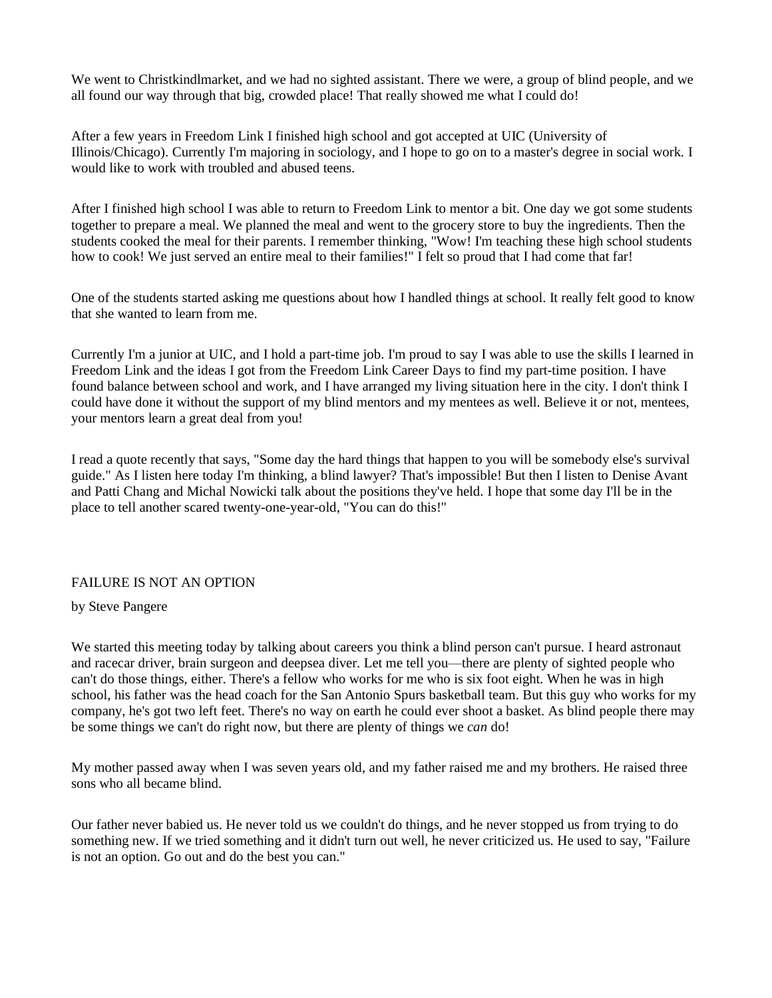We went to Christkindlmarket, and we had no sighted assistant. There we were, a group of blind people, and we all found our way through that big, crowded place! That really showed me what I could do!

After a few years in Freedom Link I finished high school and got accepted at UIC (University of Illinois/Chicago). Currently I'm majoring in sociology, and I hope to go on to a master's degree in social work. I would like to work with troubled and abused teens.

After I finished high school I was able to return to Freedom Link to mentor a bit. One day we got some students together to prepare a meal. We planned the meal and went to the grocery store to buy the ingredients. Then the students cooked the meal for their parents. I remember thinking, "Wow! I'm teaching these high school students how to cook! We just served an entire meal to their families!" I felt so proud that I had come that far!

One of the students started asking me questions about how I handled things at school. It really felt good to know that she wanted to learn from me.

Currently I'm a junior at UIC, and I hold a part-time job. I'm proud to say I was able to use the skills I learned in Freedom Link and the ideas I got from the Freedom Link Career Days to find my part-time position. I have found balance between school and work, and I have arranged my living situation here in the city. I don't think I could have done it without the support of my blind mentors and my mentees as well. Believe it or not, mentees, your mentors learn a great deal from you!

I read a quote recently that says, "Some day the hard things that happen to you will be somebody else's survival guide." As I listen here today I'm thinking, a blind lawyer? That's impossible! But then I listen to Denise Avant and Patti Chang and Michal Nowicki talk about the positions they've held. I hope that some day I'll be in the place to tell another scared twenty-one-year-old, "You can do this!"

# FAILURE IS NOT AN OPTION

#### by Steve Pangere

We started this meeting today by talking about careers you think a blind person can't pursue. I heard astronaut and racecar driver, brain surgeon and deepsea diver. Let me tell you—there are plenty of sighted people who can't do those things, either. There's a fellow who works for me who is six foot eight. When he was in high school, his father was the head coach for the San Antonio Spurs basketball team. But this guy who works for my company, he's got two left feet. There's no way on earth he could ever shoot a basket. As blind people there may be some things we can't do right now, but there are plenty of things we *can* do!

My mother passed away when I was seven years old, and my father raised me and my brothers. He raised three sons who all became blind.

Our father never babied us. He never told us we couldn't do things, and he never stopped us from trying to do something new. If we tried something and it didn't turn out well, he never criticized us. He used to say, "Failure is not an option. Go out and do the best you can."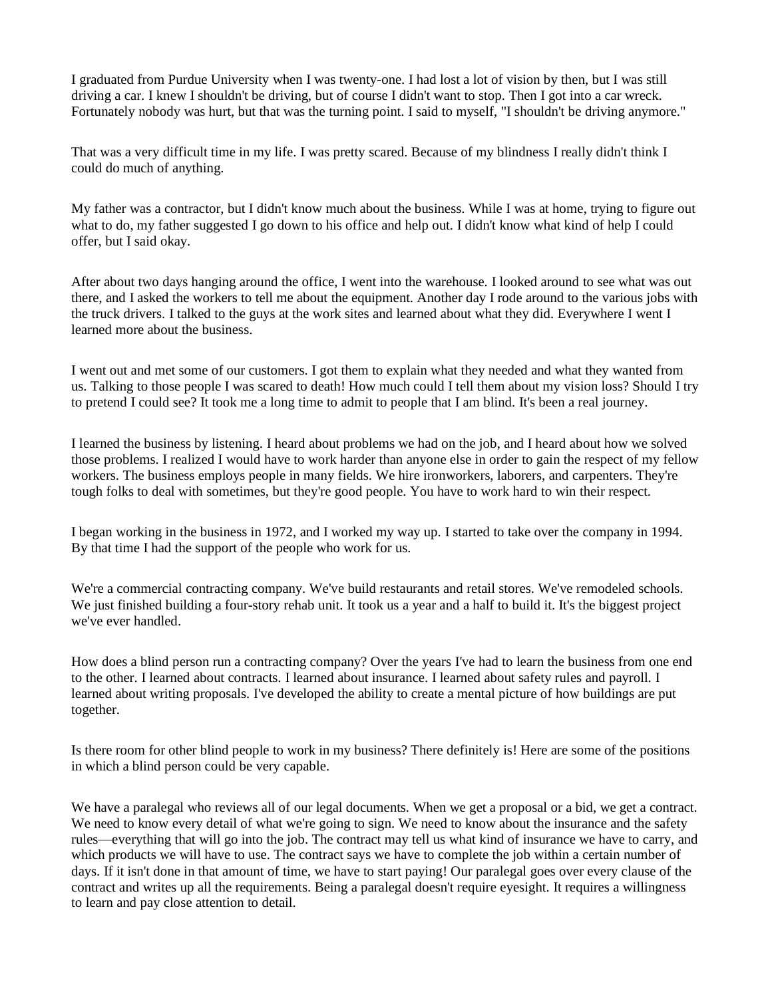I graduated from Purdue University when I was twenty-one. I had lost a lot of vision by then, but I was still driving a car. I knew I shouldn't be driving, but of course I didn't want to stop. Then I got into a car wreck. Fortunately nobody was hurt, but that was the turning point. I said to myself, "I shouldn't be driving anymore."

That was a very difficult time in my life. I was pretty scared. Because of my blindness I really didn't think I could do much of anything.

My father was a contractor, but I didn't know much about the business. While I was at home, trying to figure out what to do, my father suggested I go down to his office and help out. I didn't know what kind of help I could offer, but I said okay.

After about two days hanging around the office, I went into the warehouse. I looked around to see what was out there, and I asked the workers to tell me about the equipment. Another day I rode around to the various jobs with the truck drivers. I talked to the guys at the work sites and learned about what they did. Everywhere I went I learned more about the business.

I went out and met some of our customers. I got them to explain what they needed and what they wanted from us. Talking to those people I was scared to death! How much could I tell them about my vision loss? Should I try to pretend I could see? It took me a long time to admit to people that I am blind. It's been a real journey.

I learned the business by listening. I heard about problems we had on the job, and I heard about how we solved those problems. I realized I would have to work harder than anyone else in order to gain the respect of my fellow workers. The business employs people in many fields. We hire ironworkers, laborers, and carpenters. They're tough folks to deal with sometimes, but they're good people. You have to work hard to win their respect.

I began working in the business in 1972, and I worked my way up. I started to take over the company in 1994. By that time I had the support of the people who work for us.

We're a commercial contracting company. We've build restaurants and retail stores. We've remodeled schools. We just finished building a four-story rehab unit. It took us a year and a half to build it. It's the biggest project we've ever handled.

How does a blind person run a contracting company? Over the years I've had to learn the business from one end to the other. I learned about contracts. I learned about insurance. I learned about safety rules and payroll. I learned about writing proposals. I've developed the ability to create a mental picture of how buildings are put together.

Is there room for other blind people to work in my business? There definitely is! Here are some of the positions in which a blind person could be very capable.

We have a paralegal who reviews all of our legal documents. When we get a proposal or a bid, we get a contract. We need to know every detail of what we're going to sign. We need to know about the insurance and the safety rules—everything that will go into the job. The contract may tell us what kind of insurance we have to carry, and which products we will have to use. The contract says we have to complete the job within a certain number of days. If it isn't done in that amount of time, we have to start paying! Our paralegal goes over every clause of the contract and writes up all the requirements. Being a paralegal doesn't require eyesight. It requires a willingness to learn and pay close attention to detail.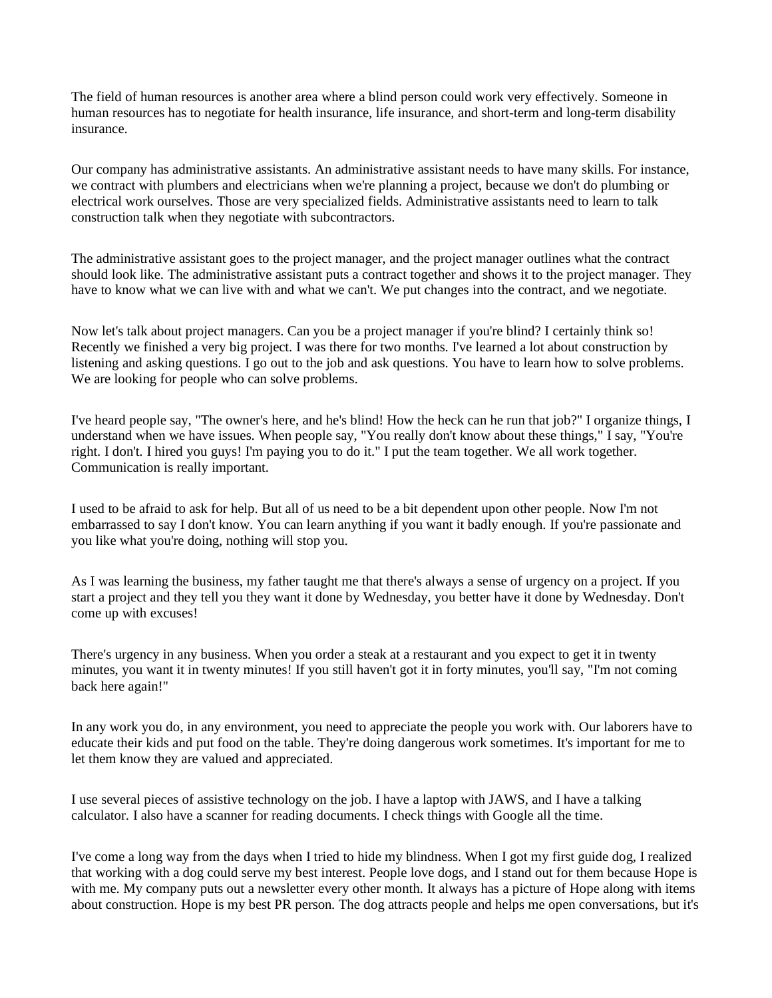The field of human resources is another area where a blind person could work very effectively. Someone in human resources has to negotiate for health insurance, life insurance, and short-term and long-term disability insurance.

Our company has administrative assistants. An administrative assistant needs to have many skills. For instance, we contract with plumbers and electricians when we're planning a project, because we don't do plumbing or electrical work ourselves. Those are very specialized fields. Administrative assistants need to learn to talk construction talk when they negotiate with subcontractors.

The administrative assistant goes to the project manager, and the project manager outlines what the contract should look like. The administrative assistant puts a contract together and shows it to the project manager. They have to know what we can live with and what we can't. We put changes into the contract, and we negotiate.

Now let's talk about project managers. Can you be a project manager if you're blind? I certainly think so! Recently we finished a very big project. I was there for two months. I've learned a lot about construction by listening and asking questions. I go out to the job and ask questions. You have to learn how to solve problems. We are looking for people who can solve problems.

I've heard people say, "The owner's here, and he's blind! How the heck can he run that job?" I organize things, I understand when we have issues. When people say, "You really don't know about these things," I say, "You're right. I don't. I hired you guys! I'm paying you to do it." I put the team together. We all work together. Communication is really important.

I used to be afraid to ask for help. But all of us need to be a bit dependent upon other people. Now I'm not embarrassed to say I don't know. You can learn anything if you want it badly enough. If you're passionate and you like what you're doing, nothing will stop you.

As I was learning the business, my father taught me that there's always a sense of urgency on a project. If you start a project and they tell you they want it done by Wednesday, you better have it done by Wednesday. Don't come up with excuses!

There's urgency in any business. When you order a steak at a restaurant and you expect to get it in twenty minutes, you want it in twenty minutes! If you still haven't got it in forty minutes, you'll say, "I'm not coming back here again!"

In any work you do, in any environment, you need to appreciate the people you work with. Our laborers have to educate their kids and put food on the table. They're doing dangerous work sometimes. It's important for me to let them know they are valued and appreciated.

I use several pieces of assistive technology on the job. I have a laptop with JAWS, and I have a talking calculator. I also have a scanner for reading documents. I check things with Google all the time.

I've come a long way from the days when I tried to hide my blindness. When I got my first guide dog, I realized that working with a dog could serve my best interest. People love dogs, and I stand out for them because Hope is with me. My company puts out a newsletter every other month. It always has a picture of Hope along with items about construction. Hope is my best PR person. The dog attracts people and helps me open conversations, but it's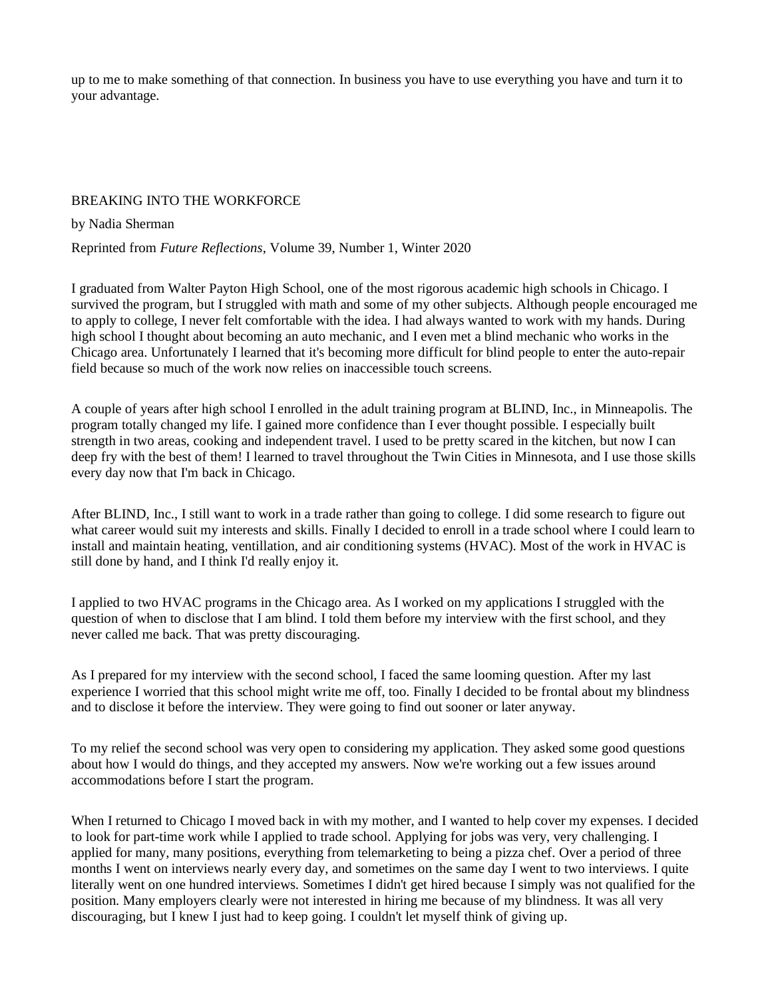up to me to make something of that connection. In business you have to use everything you have and turn it to your advantage.

### BREAKING INTO THE WORKFORCE

#### by Nadia Sherman

Reprinted from *Future Reflections*, Volume 39, Number 1, Winter 2020

I graduated from Walter Payton High School, one of the most rigorous academic high schools in Chicago. I survived the program, but I struggled with math and some of my other subjects. Although people encouraged me to apply to college, I never felt comfortable with the idea. I had always wanted to work with my hands. During high school I thought about becoming an auto mechanic, and I even met a blind mechanic who works in the Chicago area. Unfortunately I learned that it's becoming more difficult for blind people to enter the auto-repair field because so much of the work now relies on inaccessible touch screens.

A couple of years after high school I enrolled in the adult training program at BLIND, Inc., in Minneapolis. The program totally changed my life. I gained more confidence than I ever thought possible. I especially built strength in two areas, cooking and independent travel. I used to be pretty scared in the kitchen, but now I can deep fry with the best of them! I learned to travel throughout the Twin Cities in Minnesota, and I use those skills every day now that I'm back in Chicago.

After BLIND, Inc., I still want to work in a trade rather than going to college. I did some research to figure out what career would suit my interests and skills. Finally I decided to enroll in a trade school where I could learn to install and maintain heating, ventillation, and air conditioning systems (HVAC). Most of the work in HVAC is still done by hand, and I think I'd really enjoy it.

I applied to two HVAC programs in the Chicago area. As I worked on my applications I struggled with the question of when to disclose that I am blind. I told them before my interview with the first school, and they never called me back. That was pretty discouraging.

As I prepared for my interview with the second school, I faced the same looming question. After my last experience I worried that this school might write me off, too. Finally I decided to be frontal about my blindness and to disclose it before the interview. They were going to find out sooner or later anyway.

To my relief the second school was very open to considering my application. They asked some good questions about how I would do things, and they accepted my answers. Now we're working out a few issues around accommodations before I start the program.

When I returned to Chicago I moved back in with my mother, and I wanted to help cover my expenses. I decided to look for part-time work while I applied to trade school. Applying for jobs was very, very challenging. I applied for many, many positions, everything from telemarketing to being a pizza chef. Over a period of three months I went on interviews nearly every day, and sometimes on the same day I went to two interviews. I quite literally went on one hundred interviews. Sometimes I didn't get hired because I simply was not qualified for the position. Many employers clearly were not interested in hiring me because of my blindness. It was all very discouraging, but I knew I just had to keep going. I couldn't let myself think of giving up.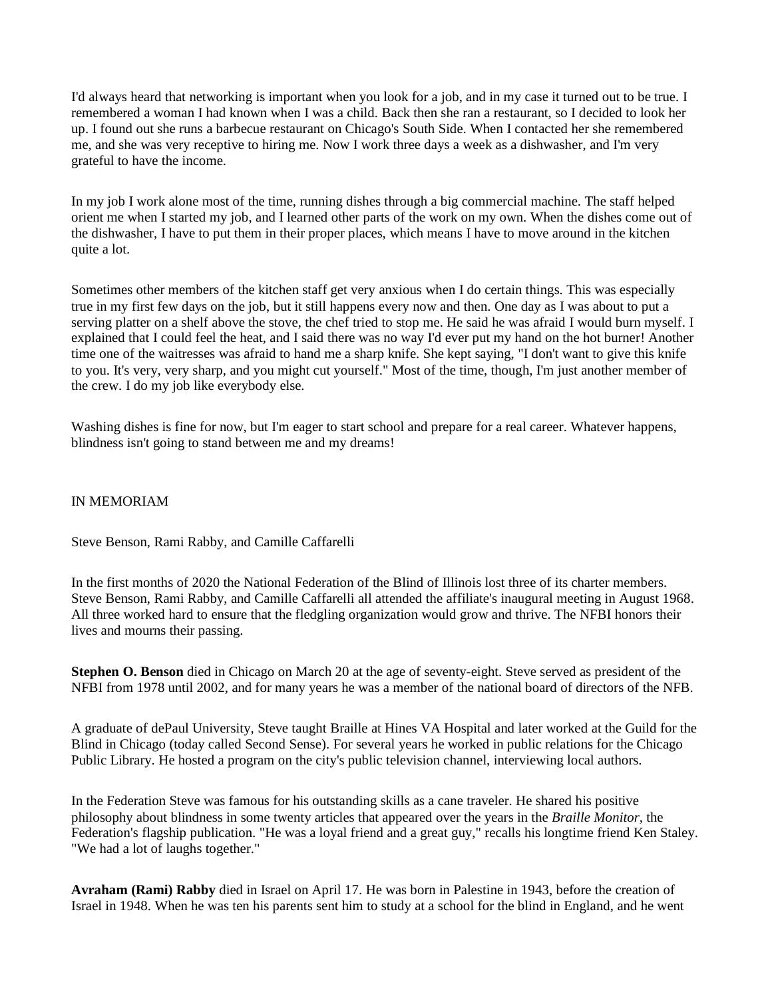I'd always heard that networking is important when you look for a job, and in my case it turned out to be true. I remembered a woman I had known when I was a child. Back then she ran a restaurant, so I decided to look her up. I found out she runs a barbecue restaurant on Chicago's South Side. When I contacted her she remembered me, and she was very receptive to hiring me. Now I work three days a week as a dishwasher, and I'm very grateful to have the income.

In my job I work alone most of the time, running dishes through a big commercial machine. The staff helped orient me when I started my job, and I learned other parts of the work on my own. When the dishes come out of the dishwasher, I have to put them in their proper places, which means I have to move around in the kitchen quite a lot.

Sometimes other members of the kitchen staff get very anxious when I do certain things. This was especially true in my first few days on the job, but it still happens every now and then. One day as I was about to put a serving platter on a shelf above the stove, the chef tried to stop me. He said he was afraid I would burn myself. I explained that I could feel the heat, and I said there was no way I'd ever put my hand on the hot burner! Another time one of the waitresses was afraid to hand me a sharp knife. She kept saying, "I don't want to give this knife to you. It's very, very sharp, and you might cut yourself." Most of the time, though, I'm just another member of the crew. I do my job like everybody else.

Washing dishes is fine for now, but I'm eager to start school and prepare for a real career. Whatever happens, blindness isn't going to stand between me and my dreams!

### IN MEMORIAM

Steve Benson, Rami Rabby, and Camille Caffarelli

In the first months of 2020 the National Federation of the Blind of Illinois lost three of its charter members. Steve Benson, Rami Rabby, and Camille Caffarelli all attended the affiliate's inaugural meeting in August 1968. All three worked hard to ensure that the fledgling organization would grow and thrive. The NFBI honors their lives and mourns their passing.

**Stephen O. Benson** died in Chicago on March 20 at the age of seventy-eight. Steve served as president of the NFBI from 1978 until 2002, and for many years he was a member of the national board of directors of the NFB.

A graduate of dePaul University, Steve taught Braille at Hines VA Hospital and later worked at the Guild for the Blind in Chicago (today called Second Sense). For several years he worked in public relations for the Chicago Public Library. He hosted a program on the city's public television channel, interviewing local authors.

In the Federation Steve was famous for his outstanding skills as a cane traveler. He shared his positive philosophy about blindness in some twenty articles that appeared over the years in the *Braille Monitor,* the Federation's flagship publication. "He was a loyal friend and a great guy," recalls his longtime friend Ken Staley. "We had a lot of laughs together."

**Avraham (Rami) Rabby** died in Israel on April 17. He was born in Palestine in 1943, before the creation of Israel in 1948. When he was ten his parents sent him to study at a school for the blind in England, and he went